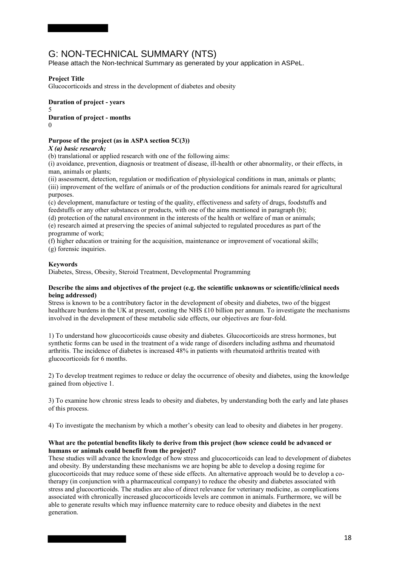# G: NON-TECHNICAL SUMMARY (NTS)

Please attach the Non-technical Summary as generated by your application in ASPeL.

## **Project Title**

Glucocorticoids and stress in the development of diabetes and obesity

**Duration of project - years**  5 **Duration of project - months**   $\Omega$ 

## **Purpose of the project (as in ASPA section 5C(3))**

*X (a) basic research;* 

(b) translational or applied research with one of the following aims:

(i) avoidance, prevention, diagnosis or treatment of disease, ill-health or other abnormality, or their effects, in man, animals or plants;

(ii) assessment, detection, regulation or modification of physiological conditions in man, animals or plants; (iii) improvement of the welfare of animals or of the production conditions for animals reared for agricultural purposes.

(c) development, manufacture or testing of the quality, effectiveness and safety of drugs, foodstuffs and feedstuffs or any other substances or products, with one of the aims mentioned in paragraph (b);

(d) protection of the natural environment in the interests of the health or welfare of man or animals; (e) research aimed at preserving the species of animal subjected to regulated procedures as part of the programme of work;

(f) higher education or training for the acquisition, maintenance or improvement of vocational skills; (g) forensic inquiries.

## **Keywords**

Diabetes, Stress, Obesity, Steroid Treatment, Developmental Programming

### **Describe the aims and objectives of the project (e.g. the scientific unknowns or scientific/clinical needs being addressed)**

Stress is known to be a contributory factor in the development of obesity and diabetes, two of the biggest healthcare burdens in the UK at present, costing the NHS £10 billion per annum. To investigate the mechanisms involved in the development of these metabolic side effects, our objectives are four-fold.

1) To understand how glucocorticoids cause obesity and diabetes. Glucocorticoids are stress hormones, but synthetic forms can be used in the treatment of a wide range of disorders including asthma and rheumatoid arthritis. The incidence of diabetes is increased 48% in patients with rheumatoid arthritis treated with glucocorticoids for 6 months.

2) To develop treatment regimes to reduce or delay the occurrence of obesity and diabetes, using the knowledge gained from objective 1.

3) To examine how chronic stress leads to obesity and diabetes, by understanding both the early and late phases of this process.

4) To investigate the mechanism by which a mother's obesity can lead to obesity and diabetes in her progeny.

## **What are the potential benefits likely to derive from this project (how science could be advanced or humans or animals could benefit from the project)?**

These studies will advance the knowledge of how stress and glucocorticoids can lead to development of diabetes and obesity. By understanding these mechanisms we are hoping be able to develop a dosing regime for glucocorticoids that may reduce some of these side effects. An alternative approach would be to develop a cotherapy (in conjunction with a pharmaceutical company) to reduce the obesity and diabetes associated with stress and glucocorticoids. The studies are also of direct relevance for veterinary medicine, as complications associated with chronically increased glucocorticoids levels are common in animals. Furthermore, we will be able to generate results which may influence maternity care to reduce obesity and diabetes in the next generation.